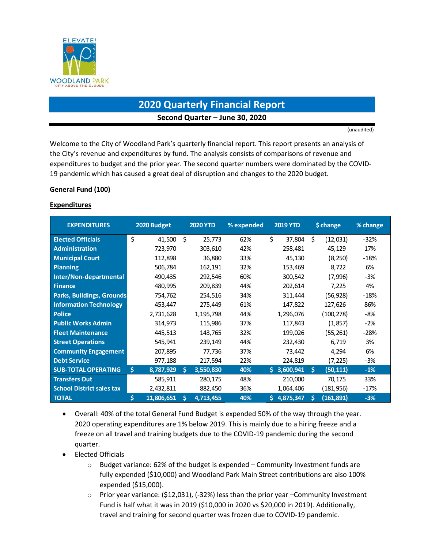

# **2020 Quarterly Financial Report Second Quarter – June 30, 2020**

(unaudited)

Welcome to the City of Woodland Park's quarterly financial report. This report presents an analysis of the City's revenue and expenditures by fund. The analysis consists of comparisons of revenue and expenditures to budget and the prior year. The second quarter numbers were dominated by the COVID-19 pandemic which has caused a great deal of disruption and changes to the 2020 budget.

#### **General Fund (100)**

#### **Expenditures**

| <b>EXPENDITURES</b>              | 2020 Budget     |    | <b>2020 YTD</b> | % expended |    | <b>2019 YTD</b> |    | \$ change | % change |
|----------------------------------|-----------------|----|-----------------|------------|----|-----------------|----|-----------|----------|
| <b>Elected Officials</b>         | \$<br>41,500    | Ś  | 25,773          | 62%        | \$ | 37,804          | Ś  | (12,031)  | $-32%$   |
| <b>Administration</b>            | 723,970         |    | 303,610         | 42%        |    | 258,481         |    | 45,129    | 17%      |
| <b>Municipal Court</b>           | 112,898         |    | 36,880          | 33%        |    | 45,130          |    | (8,250)   | $-18%$   |
| <b>Planning</b>                  | 506,784         |    | 162,191         | 32%        |    | 153,469         |    | 8,722     | 6%       |
| Inter/Non-departmental           | 490,435         |    | 292,546         | 60%        |    | 300,542         |    | (7,996)   | -3%      |
| <b>Finance</b>                   | 480,995         |    | 209,839         | 44%        |    | 202,614         |    | 7,225     | 4%       |
| <b>Parks, Buildings, Grounds</b> | 754,762         |    | 254,516         | 34%        |    | 311,444         |    | (56, 928) | $-18%$   |
| <b>Information Technology</b>    | 453,447         |    | 275,449         | 61%        |    | 147,822         |    | 127,626   | 86%      |
| <b>Police</b>                    | 2,731,628       |    | 1,195,798       | 44%        |    | 1,296,076       |    | (100,278) | -8%      |
| <b>Public Works Admin</b>        | 314,973         |    | 115,986         | 37%        |    | 117,843         |    | (1,857)   | $-2%$    |
| <b>Fleet Maintenance</b>         | 445,513         |    | 143,765         | 32%        |    | 199,026         |    | (55, 261) | -28%     |
| <b>Street Operations</b>         | 545,941         |    | 239,149         | 44%        |    | 232,430         |    | 6,719     | 3%       |
| <b>Community Engagement</b>      | 207,895         |    | 77,736          | 37%        |    | 73,442          |    | 4,294     | 6%       |
| <b>Debt Service</b>              | 977,188         |    | 217,594         | 22%        |    | 224,819         |    | (7,225)   | -3%      |
| <b>SUB-TOTAL OPERATING</b>       | S.<br>8,787,929 | S. | 3,550,830       | 40%        |    | \$3,600,941     | Ŝ. | (50, 111) | $-1%$    |
| <b>Transfers Out</b>             | 585,911         |    | 280,175         | 48%        |    | 210,000         |    | 70,175    | 33%      |
| <b>School District sales tax</b> | 2,432,811       |    | 882,450         | 36%        |    | 1,064,406       |    | (181,956) | -17%     |
| <b>TOTAL</b>                     | 11,806,651      | S  | 4,713,455       | 40%        | S. | 4,875,347       | S  | (161,891) | $-3%$    |

- Overall: 40% of the total General Fund Budget is expended 50% of the way through the year. 2020 operating expenditures are 1% below 2019. This is mainly due to a hiring freeze and a freeze on all travel and training budgets due to the COVID-19 pandemic during the second quarter.
- Elected Officials
	- $\circ$  Budget variance: 62% of the budget is expended Community Investment funds are fully expended (\$10,000) and Woodland Park Main Street contributions are also 100% expended (\$15,000).
	- o Prior year variance: (\$12,031), (-32%) less than the prior year –Community Investment Fund is half what it was in 2019 (\$10,000 in 2020 vs \$20,000 in 2019). Additionally, travel and training for second quarter was frozen due to COVID-19 pandemic.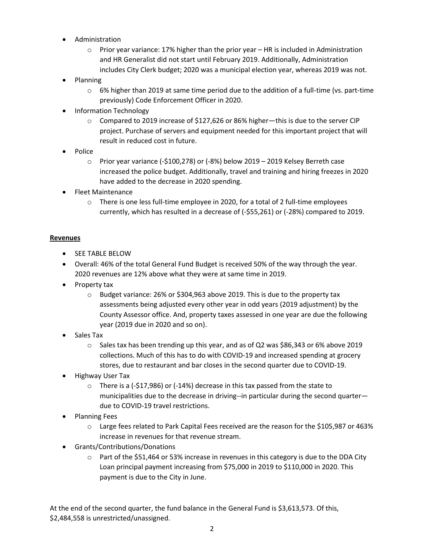- Administration
	- $\circ$  Prior year variance: 17% higher than the prior year HR is included in Administration and HR Generalist did not start until February 2019. Additionally, Administration includes City Clerk budget; 2020 was a municipal election year, whereas 2019 was not.
- Planning
	- $\circ$  6% higher than 2019 at same time period due to the addition of a full-time (vs. part-time previously) Code Enforcement Officer in 2020.
- Information Technology
	- $\circ$  Compared to 2019 increase of \$127,626 or 86% higher—this is due to the server CIP project. Purchase of servers and equipment needed for this important project that will result in reduced cost in future.
- Police
	- o Prior year variance (-\$100,278) or (-8%) below 2019 2019 Kelsey Berreth case increased the police budget. Additionally, travel and training and hiring freezes in 2020 have added to the decrease in 2020 spending.
- Fleet Maintenance
	- $\circ$  There is one less full-time employee in 2020, for a total of 2 full-time employees currently, which has resulted in a decrease of (-\$55,261) or (-28%) compared to 2019.

#### **Revenues**

- **•** SEE TABLE BELOW
- Overall: 46% of the total General Fund Budget is received 50% of the way through the year. 2020 revenues are 12% above what they were at same time in 2019.
- Property tax
	- $\circ$  Budget variance: 26% or \$304,963 above 2019. This is due to the property tax assessments being adjusted every other year in odd years (2019 adjustment) by the County Assessor office. And, property taxes assessed in one year are due the following year (2019 due in 2020 and so on).
- Sales Tax
	- o Sales tax has been trending up this year, and as of Q2 was \$86,343 or 6% above 2019 collections. Much of this has to do with COVID-19 and increased spending at grocery stores, due to restaurant and bar closes in the second quarter due to COVID-19.
- Highway User Tax
	- $\circ$  There is a (-\$17,986) or (-14%) decrease in this tax passed from the state to municipalities due to the decrease in driving--in particular during the second quarter due to COVID-19 travel restrictions.
- Planning Fees
	- o Large fees related to Park Capital Fees received are the reason for the \$105,987 or 463% increase in revenues for that revenue stream.
- Grants/Contributions/Donations
	- o Part of the \$51,464 or 53% increase in revenues in this category is due to the DDA City Loan principal payment increasing from \$75,000 in 2019 to \$110,000 in 2020. This payment is due to the City in June.

At the end of the second quarter, the fund balance in the General Fund is \$3,613,573. Of this, \$2,484,558 is unrestricted/unassigned.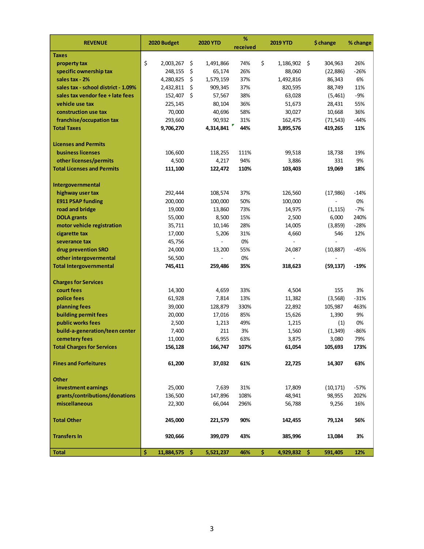| <b>REVENUE</b>                      | 2020 Budget         | <b>2020 YTD</b> | %<br>received | <b>2019 YTD</b>    |    | \$ change | % change |
|-------------------------------------|---------------------|-----------------|---------------|--------------------|----|-----------|----------|
| <b>Taxes</b>                        |                     |                 |               |                    |    |           |          |
| property tax                        | \$<br>2,003,267     | \$<br>1,491,866 | 74%           | \$<br>1,186,902    | -S | 304,963   | 26%      |
| specific ownership tax              | 248,155             | \$<br>65,174    | 26%           | 88,060             |    | (22, 886) | $-26%$   |
| sales tax - 2%                      | 4,280,825           | \$<br>1,579,159 | 37%           | 1,492,816          |    | 86,343    | 6%       |
| sales tax - school district - 1.09% | 2,432,811           | \$<br>909,345   | 37%           | 820,595            |    | 88,749    | 11%      |
| sales tax vendor fee + late fees    | 152,407             | \$<br>57,567    | 38%           | 63,028             |    | (5,461)   | $-9%$    |
| vehicle use tax                     | 225,145             | 80,104          | 36%           | 51,673             |    | 28,431    | 55%      |
| construction use tax                | 70,000              | 40,696          | 58%           | 30,027             |    | 10,668    | 36%      |
| franchise/occupation tax            | 293,660             | 90,932          | 31%           | 162,475            |    | (71, 543) | $-44%$   |
| <b>Total Taxes</b>                  | 9,706,270           | 4,314,841       | 44%           | 3,895,576          |    | 419,265   | 11%      |
|                                     |                     |                 |               |                    |    |           |          |
| <b>Licenses and Permits</b>         |                     |                 |               |                    |    |           |          |
| business licenses                   | 106,600             | 118,255         | 111%          | 99,518             |    | 18,738    | 19%      |
| other licenses/permits              | 4,500               | 4,217           | 94%           | 3,886              |    | 331       | 9%       |
| <b>Total Licenses and Permits</b>   | 111,100             | 122,472         | 110%          | 103,403            |    | 19,069    | 18%      |
|                                     |                     |                 |               |                    |    |           |          |
| Intergovernmental                   |                     |                 |               |                    |    |           |          |
| highway user tax                    | 292,444             | 108,574         | 37%           | 126,560            |    | (17, 986) | $-14%$   |
| <b>E911 PSAP funding</b>            | 200,000             | 100,000         | 50%           | 100,000            |    |           | 0%       |
| road and bridge                     | 19,000              | 13,860          | 73%           | 14,975             |    | (1, 115)  | $-7%$    |
| <b>DOLA</b> grants                  | 55,000              | 8,500           | 15%           | 2,500              |    | 6,000     | 240%     |
| motor vehicle registration          | 35,711              | 10,146          | 28%           | 14,005             |    | (3,859)   | $-28%$   |
| cigarette tax                       | 17,000              | 5,206           | 31%           | 4,660              |    | 546       | 12%      |
| severance tax                       | 45,756              |                 | 0%            |                    |    |           |          |
| drug prevention SRO                 | 24,000              | 13,200          | 55%           | 24,087             |    | (10, 887) | $-45%$   |
| other intergovermental              | 56,500              |                 | 0%            |                    |    |           |          |
| <b>Total Intergovernmental</b>      | 745,411             | 259,486         | 35%           | 318,623            |    | (59, 137) | $-19%$   |
|                                     |                     |                 |               |                    |    |           |          |
| <b>Charges for Services</b>         |                     |                 |               |                    |    |           |          |
| court fees                          | 14,300              | 4,659           | 33%           | 4,504              |    | 155       | 3%       |
| police fees                         | 61,928              | 7,814           | 13%           | 11,382             |    | (3, 568)  | $-31%$   |
| planning fees                       | 39,000              | 128,879         | 330%          | 22,892             |    | 105,987   | 463%     |
| building permit fees                | 20,000              | 17,016          | 85%           | 15,626             |    | 1,390     | 9%       |
| public works fees                   | 2,500               | 1,213           | 49%           | 1,215              |    | (1)       | 0%       |
| build-a-generation/teen center      | 7,400               | 211             | 3%            | 1,560              |    | (1, 349)  | $-86%$   |
| cemetery fees                       | 11,000              | 6,955           | 63%           | 3,875              |    | 3,080     | 79%      |
| <b>Total Charges for Services</b>   | 156,128             | 166,747         | 107%          | 61,054             |    | 105,693   | 173%     |
| <b>Fines and Forfeitures</b>        | 61,200              | 37,032          | 61%           | 22,725             |    | 14,307    | 63%      |
|                                     |                     |                 |               |                    |    |           |          |
| <b>Other</b>                        |                     |                 |               |                    |    |           |          |
| investment earnings                 | 25,000              | 7,639           | 31%           | 17,809             |    | (10, 171) | $-57%$   |
| grants/contributions/donations      | 136,500             | 147,896         | 108%          | 48,941             |    | 98,955    | 202%     |
| miscellaneous                       | 22,300              | 66,044          | 296%          | 56,788             |    | 9,256     | 16%      |
| <b>Total Other</b>                  | 245,000             | 221,579         | 90%           | 142,455            |    | 79,124    | 56%      |
| <b>Transfers In</b>                 | 920,666             | 399,079         | 43%           | 385,996            |    | 13,084    | 3%       |
|                                     |                     |                 |               |                    |    |           |          |
| <b>Total</b>                        | \$<br>11,884,575 \$ | 5,521,237       | 46%           | \$<br>4,929,832 \$ |    | 591,405   | 12%      |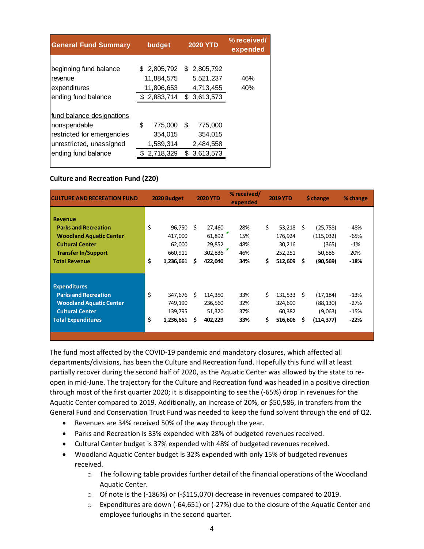| <b>General Fund Summary</b>                                                                                                | budget                                             | <b>2020 YTD</b>                                        | % received/<br>expended |
|----------------------------------------------------------------------------------------------------------------------------|----------------------------------------------------|--------------------------------------------------------|-------------------------|
| beginning fund balance<br>revenue<br>expenditures                                                                          | 2,805,792<br>S.<br>11,884,575<br>11,806,653        | \$2,805,792<br>5,521,237<br>4,713,455                  | 46%<br>40%              |
| ending fund balance                                                                                                        | \$2,883,714                                        | 3,613,573<br>\$                                        |                         |
| fund balance designations<br>nonspendable<br>restricted for emergencies<br>unrestricted, unassigned<br>ending fund balance | \$<br>775,000<br>354,015<br>1,589,314<br>2,718,329 | S<br>775,000<br>354,015<br>2,484,558<br>3,613,573<br>S |                         |

#### **Culture and Recreation Fund (220)**

| <b>CULTURE AND RECREATION FUND</b>                                                                                                                              |          | 2020 Budget                                         |         | <b>2020 YTD</b>                                  | $%$ received/<br>expended       |           | <b>2019 YTD</b>                                   |                   | \$ change                                             | % change                               |
|-----------------------------------------------------------------------------------------------------------------------------------------------------------------|----------|-----------------------------------------------------|---------|--------------------------------------------------|---------------------------------|-----------|---------------------------------------------------|-------------------|-------------------------------------------------------|----------------------------------------|
| <b>Revenue</b><br><b>Parks and Recreation</b><br><b>Woodland Aquatic Center</b><br><b>Cultural Center</b><br><b>Transfer In/Support</b><br><b>Total Revenue</b> | \$<br>\$ | 96,750<br>417,000<br>62,000<br>660,911<br>1,236,661 | -S<br>S | 27,460<br>61,892<br>29,852<br>302,836<br>422,040 | 28%<br>15%<br>48%<br>46%<br>34% | \$<br>\$. | 53,218<br>176,924<br>30,216<br>252,251<br>512,609 | -S<br>\$.         | (25,758)<br>(115,032)<br>(365)<br>50,586<br>(90, 569) | -48%<br>-65%<br>$-1%$<br>20%<br>$-18%$ |
| <b>Expenditures</b><br><b>Parks and Recreation</b><br><b>Woodland Aquatic Center</b><br><b>Cultural Center</b><br><b>Total Expenditures</b>                     | \$<br>\$ | 347,676<br>749,190<br>139,795<br>1,236,661          | S<br>S  | 114,350<br>236,560<br>51,320<br>402,229          | 33%<br>32%<br>37%<br>33%        | Ś.<br>\$  | 131,533<br>324,690<br>60,382<br>516,606           | <sub>S</sub><br>s | (17,184)<br>(88,130)<br>(9,063)<br>(114, 377)         | $-13%$<br>$-27%$<br>$-15%$<br>$-22%$   |

The fund most affected by the COVID-19 pandemic and mandatory closures, which affected all departments/divisions, has been the Culture and Recreation fund. Hopefully this fund will at least partially recover during the second half of 2020, as the Aquatic Center was allowed by the state to reopen in mid-June. The trajectory for the Culture and Recreation fund was headed in a positive direction through most of the first quarter 2020; it is disappointing to see the (-65%) drop in revenues for the Aquatic Center compared to 2019. Additionally, an increase of 20%, or \$50,586, in transfers from the General Fund and Conservation Trust Fund was needed to keep the fund solvent through the end of Q2.

- Revenues are 34% received 50% of the way through the year.
- Parks and Recreation is 33% expended with 28% of budgeted revenues received.
- Cultural Center budget is 37% expended with 48% of budgeted revenues received.
- Woodland Aquatic Center budget is 32% expended with only 15% of budgeted revenues received.
	- $\circ$  The following table provides further detail of the financial operations of the Woodland Aquatic Center.
	- o Of note is the (-186%) or (-\$115,070) decrease in revenues compared to 2019.
	- $\circ$  Expenditures are down (-64,651) or (-27%) due to the closure of the Aquatic Center and employee furloughs in the second quarter.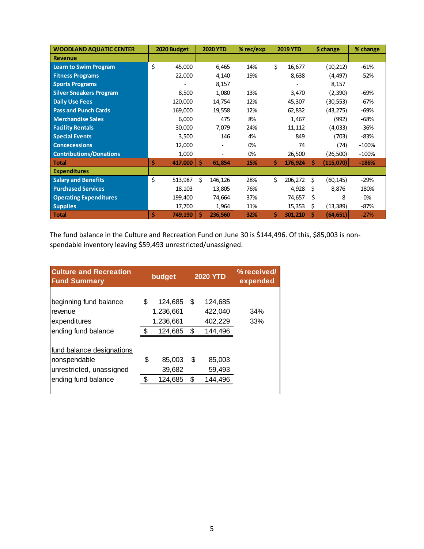| <b>WOODLAND AQUATIC CENTER</b> | 2020 Budget   | <b>2020 YTD</b> | $%$ rec/exp |    | <b>2019 YTD</b> |    | \$ change | % change |
|--------------------------------|---------------|-----------------|-------------|----|-----------------|----|-----------|----------|
| <b>Revenue</b>                 |               |                 |             |    |                 |    |           |          |
| <b>Learn to Swim Program</b>   | \$<br>45,000  | 6,465           | 14%         | \$ | 16,677          |    | (10, 212) | $-61%$   |
| <b>Fitness Programs</b>        | 22,000        | 4,140           | 19%         |    | 8,638           |    | (4, 497)  | -52%     |
| <b>Sports Programs</b>         |               | 8,157           |             |    |                 |    | 8,157     |          |
| <b>Silver Sneakers Program</b> | 8,500         | 1,080           | 13%         |    | 3,470           |    | (2,390)   | -69%     |
| <b>Daily Use Fees</b>          | 120,000       | 14,754          | 12%         |    | 45,307          |    | (30,553)  | $-67%$   |
| <b>Pass and Punch Cards</b>    | 169,000       | 19,558          | 12%         |    | 62,832          |    | (43, 275) | -69%     |
| <b>Merchandise Sales</b>       | 6,000         | 475             | 8%          |    | 1,467           |    | (992)     | -68%     |
| <b>Facility Rentals</b>        | 30,000        | 7,079           | 24%         |    | 11,112          |    | (4,033)   | $-36%$   |
| <b>Special Events</b>          | 3,500         | 146             | 4%          |    | 849             |    | (703)     | -83%     |
| <b>Concecessions</b>           | 12,000        |                 | 0%          |    | 74              |    | (74)      | $-100%$  |
| <b>Contributions/Donations</b> | 1,000         |                 | 0%          |    | 26,500          |    | (26, 500) | $-100%$  |
| <b>Total</b>                   | Ś<br>417,000  | -Ś<br>61,854    | 15%         | \$ | 176,924         | -S | (115,070) | $-186%$  |
| <b>Expenditures</b>            |               |                 |             |    |                 |    |           |          |
| <b>Salary and Benefits</b>     | \$<br>513,987 | Ś.<br>146,126   | 28%         | Ś. | 206,272         | Ś. | (60, 145) | $-29%$   |
| <b>Purchased Services</b>      | 18,103        | 13,805          | 76%         |    | 4,928           | S  | 8,876     | 180%     |
| <b>Operating Expenditures</b>  | 199,400       | 74,664          | 37%         |    | 74,657          | Ś  | 8         | 0%       |
| <b>Supplies</b>                | 17,700        | 1,964           | 11%         |    | 15,353          | \$ | (13, 389) | -87%     |
| <b>Total</b>                   | \$<br>749,190 | Ŝ<br>236,560    | 32%         | \$ | 301,210         | Ŝ  | (64, 651) | $-27%$   |

The fund balance in the Culture and Recreation Fund on June 30 is \$144,496. Of this, \$85,003 is nonspendable inventory leaving \$59,493 unrestricted/unassigned.

| <b>Culture and Recreation</b><br><b>Fund Summary</b>                  | budget |                                   |    | <b>2020 YTD</b>               | % received/<br>expended |
|-----------------------------------------------------------------------|--------|-----------------------------------|----|-------------------------------|-------------------------|
| beginning fund balance<br>revenue<br>expenditures                     | S      | 124,685<br>1,236,661<br>1,236,661 | S  | 124,685<br>422,040<br>402,229 | 34%<br>33%              |
| ending fund balance                                                   |        | 124,685                           | \$ | 144,496                       |                         |
| fund balance designations<br>nonspendable<br>unrestricted, unassigned | \$     | 85,003<br>39,682                  | S  | 85,003<br>59,493              |                         |
| ending fund balance                                                   |        | 124,685                           | \$ | 144,496                       |                         |
|                                                                       |        |                                   |    |                               |                         |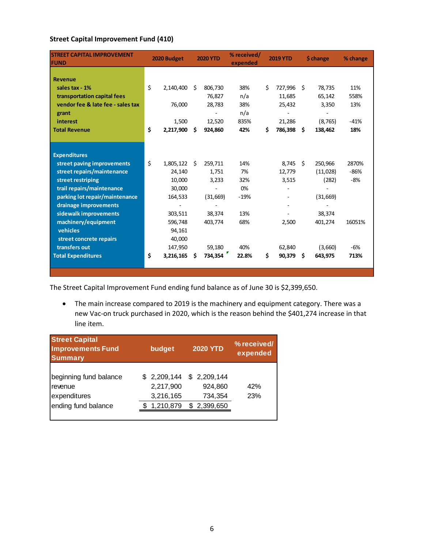# **Street Capital Improvement Fund (410)**

| <b>STREET CAPITAL IMPROVEMENT</b><br><b>FUND</b> | 2020 Budget     |    | <b>2020 YTD</b> | % received/<br>expended |    | <b>2019 YTD</b> |      | \$ change | % change |
|--------------------------------------------------|-----------------|----|-----------------|-------------------------|----|-----------------|------|-----------|----------|
| <b>Revenue</b>                                   |                 |    |                 |                         |    |                 |      |           |          |
| sales tax - 1%                                   | \$<br>2,140,400 | Ŝ. | 806,730         | 38%                     | Ś. | 727,996         | Ŝ.   | 78,735    | 11%      |
| transportation capital fees                      |                 |    | 76,827          | n/a                     |    | 11,685          |      | 65,142    | 558%     |
| vendor fee & late fee - sales tax                | 76,000          |    | 28,783          | 38%                     |    | 25,432          |      | 3,350     | 13%      |
| grant                                            |                 |    |                 | n/a                     |    |                 |      |           |          |
| interest                                         | 1,500           |    | 12,520          | 835%                    |    | 21,286          |      | (8, 765)  | $-41%$   |
| <b>Total Revenue</b>                             | \$<br>2,217,900 | \$ | 924,860         | 42%                     | Ś. | 786,398         | Ŝ.   | 138,462   | 18%      |
|                                                  |                 |    |                 |                         |    |                 |      |           |          |
|                                                  |                 |    |                 |                         |    |                 |      |           |          |
| <b>Expenditures</b>                              |                 |    |                 |                         |    |                 |      |           |          |
| street paving improvements                       | \$<br>1,805,122 | Ŝ. | 259,711         | 14%                     |    | 8,745           | - \$ | 250,966   | 2870%    |
| street repairs/maintenance                       | 24,140          |    | 1,751           | 7%                      |    | 12,779          |      | (11,028)  | $-86%$   |
| street restriping                                | 10,000          |    | 3,233           | 32%                     |    | 3,515           |      | (282)     | $-8%$    |
| trail repairs/maintenance                        | 30,000          |    |                 | 0%                      |    |                 |      |           |          |
| parking lot repair/maintenance                   | 164,533         |    | (31,669)        | $-19%$                  |    |                 |      | (31, 669) |          |
| drainage improvements                            |                 |    |                 |                         |    |                 |      |           |          |
| sidewalk improvements                            | 303,511         |    | 38,374          | 13%                     |    |                 |      | 38,374    |          |
| machinery/equipment                              | 596,748         |    | 403,774         | 68%                     |    | 2,500           |      | 401,274   | 16051%   |
| vehicles                                         | 94,161          |    |                 |                         |    |                 |      |           |          |
| street concrete repairs                          | 40,000          |    |                 |                         |    |                 |      |           |          |
| transfers out                                    | 147,950         |    | 59,180          | 40%                     |    | 62,840          |      | (3,660)   | -6%      |
| <b>Total Expenditures</b>                        | \$<br>3,216,165 | S  | 734,354         | 22.8%                   | \$ | 90,379          | Ŝ.   | 643.975   | 713%     |
|                                                  |                 |    |                 |                         |    |                 |      |           |          |
|                                                  |                 |    |                 |                         |    |                 |      |           |          |

The Street Capital Improvement Fund ending fund balance as of June 30 is \$2,399,650.

 The main increase compared to 2019 is the machinery and equipment category. There was a new Vac-on truck purchased in 2020, which is the reason behind the \$401,274 increase in that line item.

| <b>Street Capital</b><br><b>Improvements Fund</b><br><b>Summary</b>      | budget                                | <b>2020 YTD</b>                                                | % received/<br>expended |
|--------------------------------------------------------------------------|---------------------------------------|----------------------------------------------------------------|-------------------------|
| beginning fund balance<br>revenue<br>expenditures<br>ending fund balance | 2,217,900<br>3,216,165<br>\$1,210,879 | $$2,209,144$ $$2,209,144$<br>924,860<br>734,354<br>\$2,399,650 | 42%<br>23%              |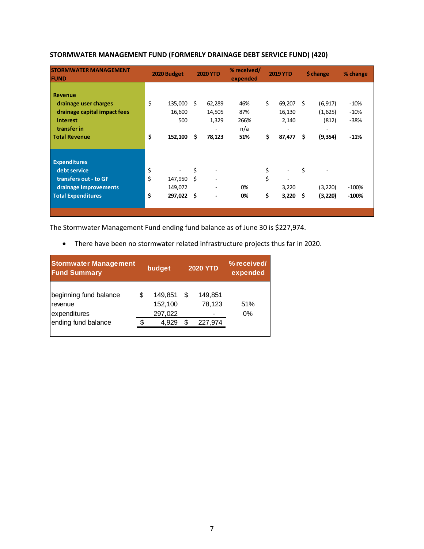| <b>STORMWATER MANAGEMENT</b><br><b>FUND</b>                                                                        |                | 2020 Budget                   |               | <b>2020 YTD</b>                                       | % received/<br>expended   |                | <b>2019 YTD</b>                                          |            | \$ change                    | % change                   |
|--------------------------------------------------------------------------------------------------------------------|----------------|-------------------------------|---------------|-------------------------------------------------------|---------------------------|----------------|----------------------------------------------------------|------------|------------------------------|----------------------------|
| <b>Revenue</b><br>drainage user charges<br>drainage capital impact fees<br>interest<br>transfer in                 | \$             | 135,000<br>16,600<br>500      | - \$          | 62,289<br>14,505<br>1,329<br>$\overline{\phantom{0}}$ | 46%<br>87%<br>266%<br>n/a | \$             | 69,207 \$<br>16,130<br>2,140<br>$\overline{\phantom{0}}$ |            | (6, 917)<br>(1,625)<br>(812) | $-10%$<br>$-10%$<br>$-38%$ |
| <b>Total Revenue</b>                                                                                               | \$             | 152,100                       | \$.           | 78,123                                                | 51%                       | \$             | 87,477                                                   | \$.        | (9, 354)                     | $-11%$                     |
| <b>Expenditures</b><br>debt service<br>transfers out - to GF<br>drainage improvements<br><b>Total Expenditures</b> | \$<br>\$<br>\$ | 147,950<br>149,072<br>297,022 | \$<br>Ś<br>\$ | ٠<br>-                                                | 0%<br>0%                  | \$<br>\$<br>\$ | 3,220<br>3,220                                           | \$<br>- \$ | (3,220)<br>(3,220)           | $-100%$<br>$-100%$         |

## **STORMWATER MANAGEMENT FUND (FORMERLY DRAINAGE DEBT SERVICE FUND) (420)**

The Stormwater Management Fund ending fund balance as of June 30 is \$227,974.

There have been no stormwater related infrastructure projects thus far in 2020.

| <b>Stormwater Management</b><br><b>Fund Summary</b>                      |   | budget                                 |         | <b>2020 YTD</b>              | % received/<br>expended |
|--------------------------------------------------------------------------|---|----------------------------------------|---------|------------------------------|-------------------------|
| beginning fund balance<br>revenue<br>expenditures<br>ending fund balance | S | 149,851<br>152,100<br>297,022<br>4,929 | S<br>S. | 149.851<br>78,123<br>227,974 | 51%<br>0%               |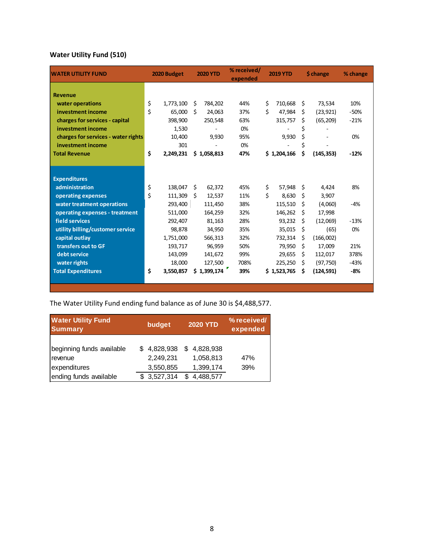# **Water Utility Fund (510)**

| <b>WATER UTILITY FUND</b>           | 2020 Budget     |    | <b>2020 YTD</b> | % received/<br>expended | <b>2019 YTD</b> |     | \$ change  | % change |
|-------------------------------------|-----------------|----|-----------------|-------------------------|-----------------|-----|------------|----------|
|                                     |                 |    |                 |                         |                 |     |            |          |
| <b>Revenue</b>                      |                 |    |                 |                         |                 |     |            |          |
| water operations                    | \$<br>1,773,100 | \$ | 784,202         | 44%                     | \$<br>710,668   | \$. | 73,534     | 10%      |
| investment income                   | \$<br>65,000    | Ś  | 24,063          | 37%                     | \$<br>47,984    | Ś.  | (23, 921)  | $-50%$   |
| charges for services - capital      | 398,900         |    | 250,548         | 63%                     | 315,757         | \$  | (65, 209)  | $-21%$   |
| investment income                   | 1,530           |    |                 | 0%                      |                 | \$  |            |          |
| charges for services - water rights | 10,400          |    | 9,930           | 95%                     | 9,930           | \$  |            | 0%       |
| investment income                   | 301             |    |                 | 0%                      |                 | \$  |            |          |
| <b>Total Revenue</b>                | \$<br>2,249,231 |    | \$1,058,813     | 47%                     | \$1,204,166     | \$  | (145, 353) | $-12%$   |
|                                     |                 |    |                 |                         |                 |     |            |          |
|                                     |                 |    |                 |                         |                 |     |            |          |
| <b>Expenditures</b>                 |                 |    |                 |                         |                 |     |            |          |
| administration                      | \$<br>138,047   | \$ | 62,372          | 45%                     | \$<br>57,948    | \$  | 4,424      | 8%       |
| operating expenses                  | \$<br>111,309   | Ŝ. | 12,537          | 11%                     | \$<br>8,630     | Ŝ.  | 3,907      |          |
| water treatment operations          | 293,400         |    | 111,450         | 38%                     | 115,510         | \$. | (4,060)    | $-4%$    |
| operating expenses - treatment      | 511,000         |    | 164,259         | 32%                     | 146,262         | S   | 17,998     |          |
| field services                      | 292,407         |    | 81,163          | 28%                     | 93,232          | Ŝ.  | (12,069)   | $-13%$   |
| utility billing/customer service    | 98,878          |    | 34,950          | 35%                     | 35,015          | \$  | (65)       | 0%       |
| capital outlay                      | 1,751,000       |    | 566,313         | 32%                     | 732,314         | Ŝ.  | (166,002)  |          |
| transfers out to GF                 | 193,717         |    | 96,959          | 50%                     | 79,950          | Ŝ.  | 17,009     | 21%      |
| debt service                        | 143,099         |    | 141,672         | 99%                     | 29,655          | Ś.  | 112,017    | 378%     |
| water rights                        | 18,000          |    | 127,500         | 708%                    | 225,250         | Ŝ.  | (97, 750)  | $-43%$   |
| <b>Total Expenditures</b>           | \$<br>3,550,857 |    | \$1,399,174     | 39%                     | \$1,523,765     | Ś   | (124, 591) | $-8%$    |
|                                     |                 |    |                 |                         |                 |     |            |          |

The Water Utility Fund ending fund balance as of June 30 is \$4,488,577.

| <b>Water Utility Fund</b><br><b>Summary</b>          | budget                                | <b>2020 YTD</b>                       | % received/<br>expended |
|------------------------------------------------------|---------------------------------------|---------------------------------------|-------------------------|
| beginning funds available<br>revenue<br>expenditures | \$4,828,938<br>2,249,231<br>3,550,855 | \$4,828,938<br>1,058,813<br>1,399,174 | 47%<br>39%              |
| ending funds available                               | \$3,527,314                           | 4,488,577                             |                         |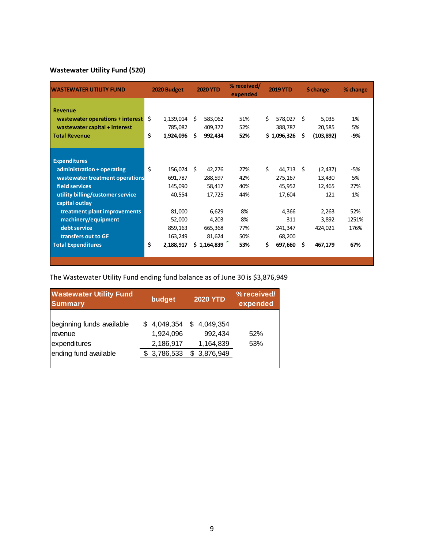# **Wastewater Utility Fund (520)**

| <b>WASTEWATER UTILITY FUND</b>   |    | 2020 Budget |    | <b>2020 YTD</b> | % received/<br>expended |    | <b>2019 YTD</b> |     | \$ change  | % change |
|----------------------------------|----|-------------|----|-----------------|-------------------------|----|-----------------|-----|------------|----------|
| <b>Revenue</b>                   |    |             |    |                 |                         |    |                 |     |            |          |
| wastewater operations + interest | Ŝ. | 1,139,014   | Ŝ. | 583,062         | 51%                     | Ś. | 578,027         | Ŝ   | 5,035      | 1%       |
| wastewater capital + interest    |    | 785,082     |    | 409,372         | 52%                     |    | 388,787         |     | 20,585     | 5%       |
| <b>Total Revenue</b>             | \$ | 1,924,096   | Ŝ. | 992,434         | 52%                     |    | \$1,096,326     | \$. | (103, 892) | -9%      |
|                                  |    |             |    |                 |                         |    |                 |     |            |          |
| <b>Expenditures</b>              |    |             |    |                 |                         |    |                 |     |            |          |
| administration + operating       | \$ | 156,074 \$  |    | 42,276          | 27%                     | Ś. | 44,713          | Ŝ.  | (2, 437)   | -5%      |
| wastewater treatment operations  |    | 691,787     |    | 288,597         | 42%                     |    | 275,167         |     | 13,430     | 5%       |
| field services                   |    | 145,090     |    | 58,417          | 40%                     |    | 45,952          |     | 12,465     | 27%      |
| utility billing/customer service |    | 40,554      |    | 17,725          | 44%                     |    | 17,604          |     | 121        | 1%       |
| capital outlay                   |    |             |    |                 |                         |    |                 |     |            |          |
| treatment plant improvements     |    | 81,000      |    | 6,629           | 8%                      |    | 4,366           |     | 2,263      | 52%      |
| machinery/equipment              |    | 52,000      |    | 4,203           | 8%                      |    | 311             |     | 3,892      | 1251%    |
| debt service                     |    | 859,163     |    | 665,368         | 77%                     |    | 241,347         |     | 424,021    | 176%     |
| transfers out to GF              |    | 163,249     |    | 81,624          | 50%                     |    | 68,200          |     |            |          |
| <b>Total Expenditures</b>        | \$ | 2,188,917   |    | \$1,164,839     | 53%                     | \$ | 697,660         | \$. | 467,179    | 67%      |
|                                  |    |             |    |                 |                         |    |                 |     |            |          |
|                                  |    |             |    |                 |                         |    |                 |     |            |          |

The Wastewater Utility Fund ending fund balance as of June 30 is \$3,876,949

| <b>Wastewater Utility Fund</b><br><b>Summary</b>                              | budget                                             |   | <b>2020 YTD</b>                                  | % received/<br>expended |
|-------------------------------------------------------------------------------|----------------------------------------------------|---|--------------------------------------------------|-------------------------|
| beginning funds available<br>revenue<br>expenditures<br>ending fund available | \$4,049,354<br>1,924,096<br>2,186,917<br>3,786,533 | S | \$4,049,354<br>992,434<br>1,164,839<br>3,876,949 | 52%<br>53%              |